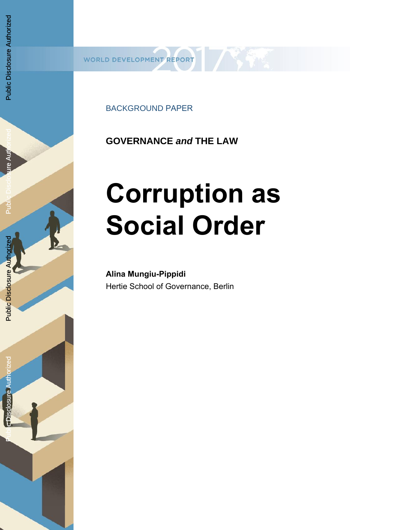BACKGROUND PAPER

**GOVERNANCE** *and* **THE LAW** 

# **Corruption as Social Order**

**Alina Mungiu-Pippidi** Hertie School of Governance, Berlin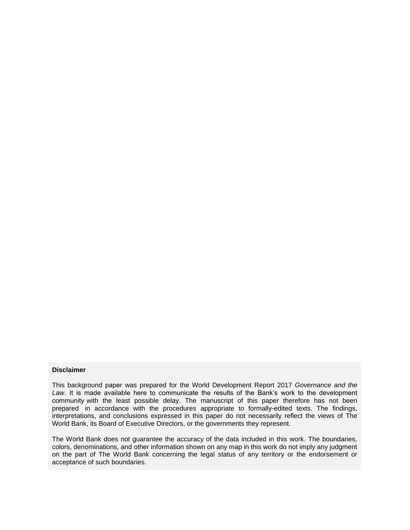#### **Disclaimer**

This background paper was prepared for the World Development Report 2017 *Governance and the Law*. It is made available here to communicate the results of the Bank's work to the development community with the least possible delay. The manuscript of this paper therefore has not been prepared in accordance with the procedures appropriate to formally-edited texts. The findings, interpretations, and conclusions expressed in this paper do not necessarily reflect the views of The World Bank, its Board of Executive Directors, or the governments they represent.

The World Bank does not guarantee the accuracy of the data included in this work. The boundaries, colors, denominations, and other information shown on any map in this work do not imply any judgment on the part of The World Bank concerning the legal status of any territory or the endorsement or acceptance of such boundaries.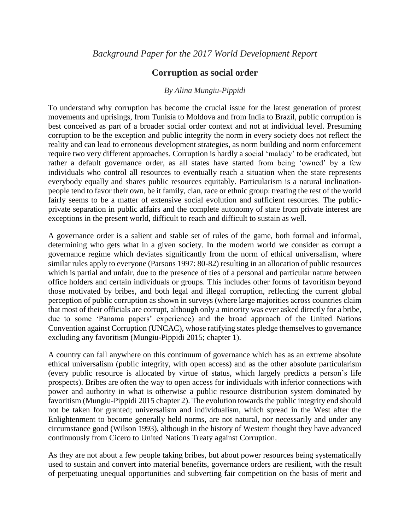# **Corruption as social order**

# *By Alina Mungiu-Pippidi*

To understand why corruption has become the crucial issue for the latest generation of protest movements and uprisings, from Tunisia to Moldova and from India to Brazil, public corruption is best conceived as part of a broader social order context and not at individual level. Presuming corruption to be the exception and public integrity the norm in every society does not reflect the reality and can lead to erroneous development strategies, as norm building and norm enforcement require two very different approaches. Corruption is hardly a social 'malady' to be eradicated, but rather a default governance order, as all states have started from being 'owned' by a few individuals who control all resources to eventually reach a situation when the state represents everybody equally and shares public resources equitably. Particularism is a natural inclinationpeople tend to favor their own, be it family, clan, race or ethnic group: treating the rest of the world fairly seems to be a matter of extensive social evolution and sufficient resources. The publicprivate separation in public affairs and the complete autonomy of state from private interest are exceptions in the present world, difficult to reach and difficult to sustain as well.

A governance order is a salient and stable set of rules of the game, both formal and informal, determining who gets what in a given society. In the modern world we consider as corrupt a governance regime which deviates significantly from the norm of ethical universalism, where similar rules apply to everyone (Parsons 1997: 80-82) resulting in an allocation of public resources which is partial and unfair, due to the presence of ties of a personal and particular nature between office holders and certain individuals or groups. This includes other forms of favoritism beyond those motivated by bribes, and both legal and illegal corruption, reflecting the current global perception of public corruption as shown in surveys (where large majorities across countries claim that most of their officials are corrupt, although only a minority was ever asked directly for a bribe, due to some 'Panama papers' experience) and the broad approach of the United Nations Convention against Corruption (UNCAC), whose ratifying states pledge themselves to governance excluding any favoritism (Mungiu-Pippidi 2015; chapter 1).

A country can fall anywhere on this continuum of governance which has as an extreme absolute ethical universalism (public integrity, with open access) and as the other absolute particularism (every public resource is allocated by virtue of status, which largely predicts a person's life prospects). Bribes are often the way to open access for individuals with inferior connections with power and authority in what is otherwise a public resource distribution system dominated by favoritism (Mungiu-Pippidi 2015 chapter 2). The evolution towards the public integrity end should not be taken for granted; universalism and individualism, which spread in the West after the Enlightenment to become generally held norms, are not natural, nor necessarily and under any circumstance good (Wilson 1993), although in the history of Western thought they have advanced continuously from Cicero to United Nations Treaty against Corruption.

As they are not about a few people taking bribes, but about power resources being systematically used to sustain and convert into material benefits, governance orders are resilient, with the result of perpetuating unequal opportunities and subverting fair competition on the basis of merit and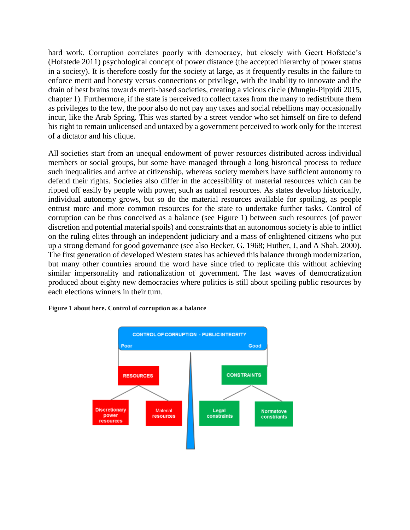hard work. Corruption correlates poorly with democracy, but closely with Geert Hofstede's (Hofstede 2011) psychological concept of power distance (the accepted hierarchy of power status in a society). It is therefore costly for the society at large, as it frequently results in the failure to enforce merit and honesty versus connections or privilege, with the inability to innovate and the drain of best brains towards merit-based societies, creating a vicious circle (Mungiu-Pippidi 2015, chapter 1). Furthermore, if the state is perceived to collect taxes from the many to redistribute them as privileges to the few, the poor also do not pay any taxes and social rebellions may occasionally incur, like the Arab Spring. This was started by a street vendor who set himself on fire to defend his right to remain unlicensed and untaxed by a government perceived to work only for the interest of a dictator and his clique.

All societies start from an unequal endowment of power resources distributed across individual members or social groups, but some have managed through a long historical process to reduce such inequalities and arrive at citizenship, whereas society members have sufficient autonomy to defend their rights. Societies also differ in the accessibility of material resources which can be ripped off easily by people with power, such as natural resources. As states develop historically, individual autonomy grows, but so do the material resources available for spoiling, as people entrust more and more common resources for the state to undertake further tasks. Control of corruption can be thus conceived as a balance (see Figure 1) between such resources (of power discretion and potential material spoils) and constraints that an autonomous society is able to inflict on the ruling elites through an independent judiciary and a mass of enlightened citizens who put up a strong demand for good governance (see also Becker, G. 1968; Huther, J, and A Shah. 2000). The first generation of developed Western states has achieved this balance through modernization, but many other countries around the word have since tried to replicate this without achieving similar impersonality and rationalization of government. The last waves of democratization produced about eighty new democracies where politics is still about spoiling public resources by each elections winners in their turn.



**Figure 1 about here. Control of corruption as a balance**

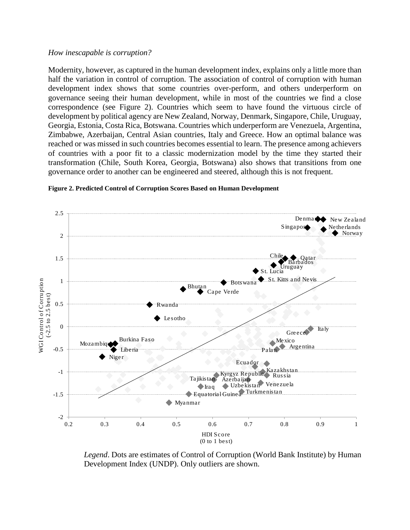## *How inescapable is corruption?*

Modernity, however, as captured in the human development index, explains only a little more than half the variation in control of corruption. The association of control of corruption with human development index shows that some countries over-perform, and others underperform on governance seeing their human development, while in most of the countries we find a close correspondence (see Figure 2). Countries which seem to have found the virtuous circle of development by political agency are New Zealand, Norway, Denmark, Singapore, Chile, Uruguay, Georgia, Estonia, Costa Rica, Botswana. Countries which underperform are Venezuela, Argentina, Zimbabwe, Azerbaijan, Central Asian countries, Italy and Greece. How an optimal balance was reached or was missed in such countries becomes essential to learn. The presence among achievers of countries with a poor fit to a classic modernization model by the time they started their transformation (Chile, South Korea, Georgia, Botswana) also shows that transitions from one governance order to another can be engineered and steered, although this is not frequent.



#### **Figure 2. Predicted Control of Corruption Scores Based on Human Development**

*Legend*. Dots are estimates of Control of Corruption (World Bank Institute) by Human Development Index (UNDP). Only outliers are shown.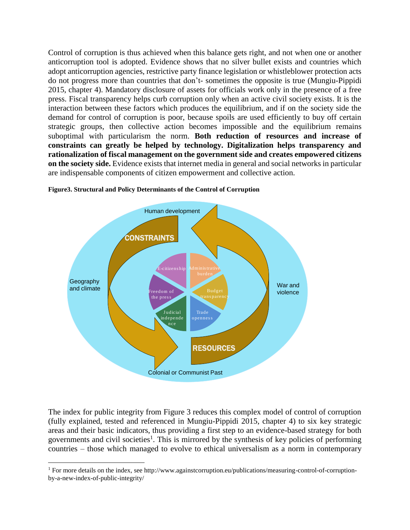Control of corruption is thus achieved when this balance gets right, and not when one or another anticorruption tool is adopted. Evidence shows that no silver bullet exists and countries which adopt anticorruption agencies, restrictive party finance legislation or whistleblower protection acts do not progress more than countries that don't- sometimes the opposite is true (Mungiu-Pippidi 2015, chapter 4). Mandatory disclosure of assets for officials work only in the presence of a free press. Fiscal transparency helps curb corruption only when an active civil society exists. It is the interaction between these factors which produces the equilibrium, and if on the society side the demand for control of corruption is poor, because spoils are used efficiently to buy off certain strategic groups, then collective action becomes impossible and the equilibrium remains suboptimal with particularism the norm. **Both reduction of resources and increase of constraints can greatly be helped by technology. Digitalization helps transparency and rationalization of fiscal management on the government side and creates empowered citizens on the society side.** Evidence exists that internet media in general and social networks in particular are indispensable components of citizen empowerment and collective action.



# **Figure3. Structural and Policy Determinants of the Control of Corruption**

The index for public integrity from Figure 3 reduces this complex model of control of corruption (fully explained, tested and referenced in Mungiu-Pippidi 2015, chapter 4) to six key strategic areas and their basic indicators, thus providing a first step to an evidence-based strategy for both governments and civil societies<sup>1</sup>. This is mirrored by the synthesis of key policies of performing countries – those which managed to evolve to ethical universalism as a norm in contemporary

 $\overline{\phantom{a}}$ 

<sup>&</sup>lt;sup>1</sup> For more details on the index, see http://www.againstcorruption.eu/publications/measuring-control-of-corruptionby-a-new-index-of-public-integrity/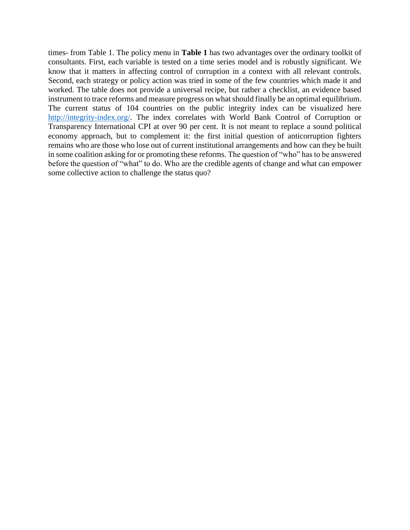times- from Table 1. The policy menu in **Table 1** has two advantages over the ordinary toolkit of consultants. First, each variable is tested on a time series model and is robustly significant. We know that it matters in affecting control of corruption in a context with all relevant controls. Second, each strategy or policy action was tried in some of the few countries which made it and worked. The table does not provide a universal recipe, but rather a checklist, an evidence based instrument to trace reforms and measure progress on what should finally be an optimal equilibrium. The current status of 104 countries on the public integrity index can be visualized here [http://integrity-index.org/.](http://integrity-index.org/) The index correlates with World Bank Control of Corruption or Transparency International CPI at over 90 per cent. It is not meant to replace a sound political economy approach, but to complement it: the first initial question of anticorruption fighters remains who are those who lose out of current institutional arrangements and how can they be built in some coalition asking for or promoting these reforms. The question of "who" has to be answered before the question of "what" to do. Who are the credible agents of change and what can empower some collective action to challenge the status quo?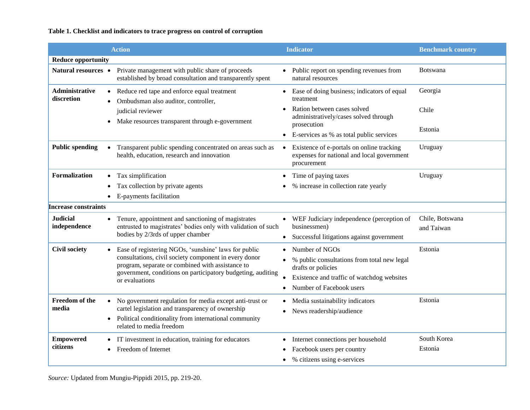# **Table 1. Checklist and indicators to trace progress on control of corruption**

|                                 | <b>Action</b>                                                                                                                                                                                                                                      | <b>Indicator</b>                                                                                       | <b>Benchmark country</b>      |
|---------------------------------|----------------------------------------------------------------------------------------------------------------------------------------------------------------------------------------------------------------------------------------------------|--------------------------------------------------------------------------------------------------------|-------------------------------|
| <b>Reduce opportunity</b>       |                                                                                                                                                                                                                                                    |                                                                                                        |                               |
| Natural resources •             | Private management with public share of proceeds<br>established by broad consultation and transparently spent                                                                                                                                      | Public report on spending revenues from<br>natural resources                                           | <b>Botswana</b>               |
| Administrative<br>discretion    | Reduce red tape and enforce equal treatment<br>$\bullet$<br>Ombudsman also auditor, controller,                                                                                                                                                    | Ease of doing business; indicators of equal<br>$\bullet$<br>treatment                                  | Georgia                       |
|                                 | judicial reviewer<br>Make resources transparent through e-government<br>$\bullet$                                                                                                                                                                  | Ration between cases solved<br>administratively/cases solved through<br>prosecution                    | Chile                         |
|                                 |                                                                                                                                                                                                                                                    | E-services as % as total public services<br>$\bullet$                                                  | Estonia                       |
| <b>Public spending</b>          | Transparent public spending concentrated on areas such as<br>$\bullet$<br>health, education, research and innovation                                                                                                                               | Existence of e-portals on online tracking<br>expenses for national and local government<br>procurement | Uruguay                       |
| <b>Formalization</b>            | Tax simplification<br>$\bullet$                                                                                                                                                                                                                    | Time of paying taxes<br>$\bullet$                                                                      | Uruguay                       |
|                                 | Tax collection by private agents                                                                                                                                                                                                                   | % increase in collection rate yearly                                                                   |                               |
|                                 | E-payments facilitation                                                                                                                                                                                                                            |                                                                                                        |                               |
| <b>Increase constraints</b>     |                                                                                                                                                                                                                                                    |                                                                                                        |                               |
| <b>Judicial</b><br>independence | Tenure, appointment and sanctioning of magistrates<br>$\bullet$<br>entrusted to magistrates' bodies only with validation of such<br>bodies by 2/3rds of upper chamber                                                                              | WEF Judiciary independence (perception of<br>businessmen)                                              | Chile, Botswana<br>and Taiwan |
|                                 |                                                                                                                                                                                                                                                    | Successful litigations against government<br>$\bullet$                                                 |                               |
| <b>Civil society</b>            | Ease of registering NGOs, 'sunshine' laws for public<br>consultations, civil society component in every donor<br>program, separate or combined with assistance to<br>government, conditions on participatory budgeting, auditing<br>or evaluations | Number of NGOs                                                                                         | Estonia                       |
|                                 |                                                                                                                                                                                                                                                    | % public consultations from total new legal<br>drafts or policies                                      |                               |
|                                 |                                                                                                                                                                                                                                                    | Existence and traffic of watchdog websites                                                             |                               |
|                                 |                                                                                                                                                                                                                                                    | Number of Facebook users                                                                               |                               |
| Freedom of the<br>media         | No government regulation for media except anti-trust or<br>$\bullet$<br>cartel legislation and transparency of ownership                                                                                                                           | Media sustainability indicators                                                                        | Estonia                       |
|                                 |                                                                                                                                                                                                                                                    | News readership/audience<br>٠                                                                          |                               |
|                                 | Political conditionality from international community<br>$\bullet$<br>related to media freedom                                                                                                                                                     |                                                                                                        |                               |
| <b>Empowered</b><br>citizens    | IT investment in education, training for educators<br>$\bullet$                                                                                                                                                                                    | Internet connections per household<br>$\bullet$                                                        | South Korea                   |
|                                 | Freedom of Internet<br>$\bullet$                                                                                                                                                                                                                   | Facebook users per country                                                                             | Estonia                       |
|                                 |                                                                                                                                                                                                                                                    | % citizens using e-services                                                                            |                               |

*Source:* Updated from Mungiu-Pippidi 2015, pp. 219-20.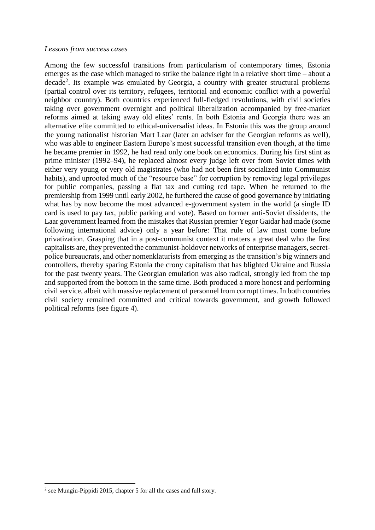## *Lessons from success cases*

Among the few successful transitions from particularism of contemporary times, Estonia emerges as the case which managed to strike the balance right in a relative short time – about a decade<sup>2</sup>. Its example was emulated by Georgia, a country with greater structural problems (partial control over its territory, refugees, territorial and economic conflict with a powerful neighbor country). Both countries experienced full-fledged revolutions, with civil societies taking over government overnight and political liberalization accompanied by free-market reforms aimed at taking away old elites' rents. In both Estonia and Georgia there was an alternative elite committed to ethical-universalist ideas. In Estonia this was the group around the young nationalist historian Mart Laar (later an adviser for the Georgian reforms as well), who was able to engineer Eastern Europe's most successful transition even though, at the time he became premier in 1992, he had read only one book on economics. During his first stint as prime minister (1992–94), he replaced almost every judge left over from Soviet times with either very young or very old magistrates (who had not been first socialized into Communist habits), and uprooted much of the "resource base" for corruption by removing legal privileges for public companies, passing a flat tax and cutting red tape. When he returned to the premiership from 1999 until early 2002, he furthered the cause of good governance by initiating what has by now become the most advanced e-government system in the world (a single ID card is used to pay tax, public parking and vote). Based on former anti-Soviet dissidents, the Laar government learned from the mistakes that Russian premier Yegor Gaidar had made (some following international advice) only a year before: That rule of law must come before privatization. Grasping that in a post-communist context it matters a great deal who the first capitalists are, they prevented the communist-holdover networks of enterprise managers, secretpolice bureaucrats, and other nomenklaturists from emerging as the transition's big winners and controllers, thereby sparing Estonia the crony capitalism that has blighted Ukraine and Russia for the past twenty years. The Georgian emulation was also radical, strongly led from the top and supported from the bottom in the same time. Both produced a more honest and performing civil service, albeit with massive replacement of personnel from corrupt times. In both countries civil society remained committed and critical towards government, and growth followed political reforms (see figure 4).

**.** 

<sup>&</sup>lt;sup>2</sup> see Mungiu-Pippidi 2015, chapter 5 for all the cases and full story.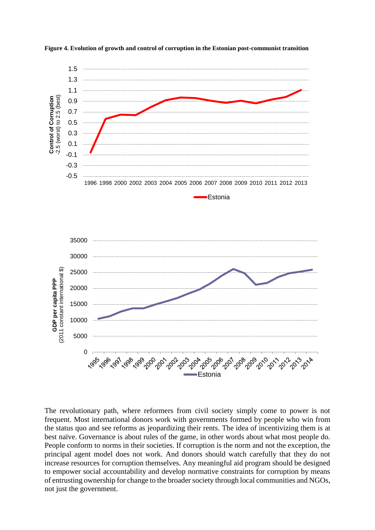

**Figure 4. Evolution of growth and control of corruption in the Estonian post-communist transition**

The revolutionary path, where reformers from civil society simply come to power is not frequent. Most international donors work with governments formed by people who win from the status quo and see reforms as jeopardizing their rents. The idea of incentivizing them is at best naïve. Governance is about rules of the game, in other words about what most people do. People conform to norms in their societies. If corruption is the norm and not the exception, the principal agent model does not work. And donors should watch carefully that they do not increase resources for corruption themselves. Any meaningful aid program should be designed to empower social accountability and develop normative constraints for corruption by means of entrusting ownership for change to the broader society through local communities and NGOs, not just the government.